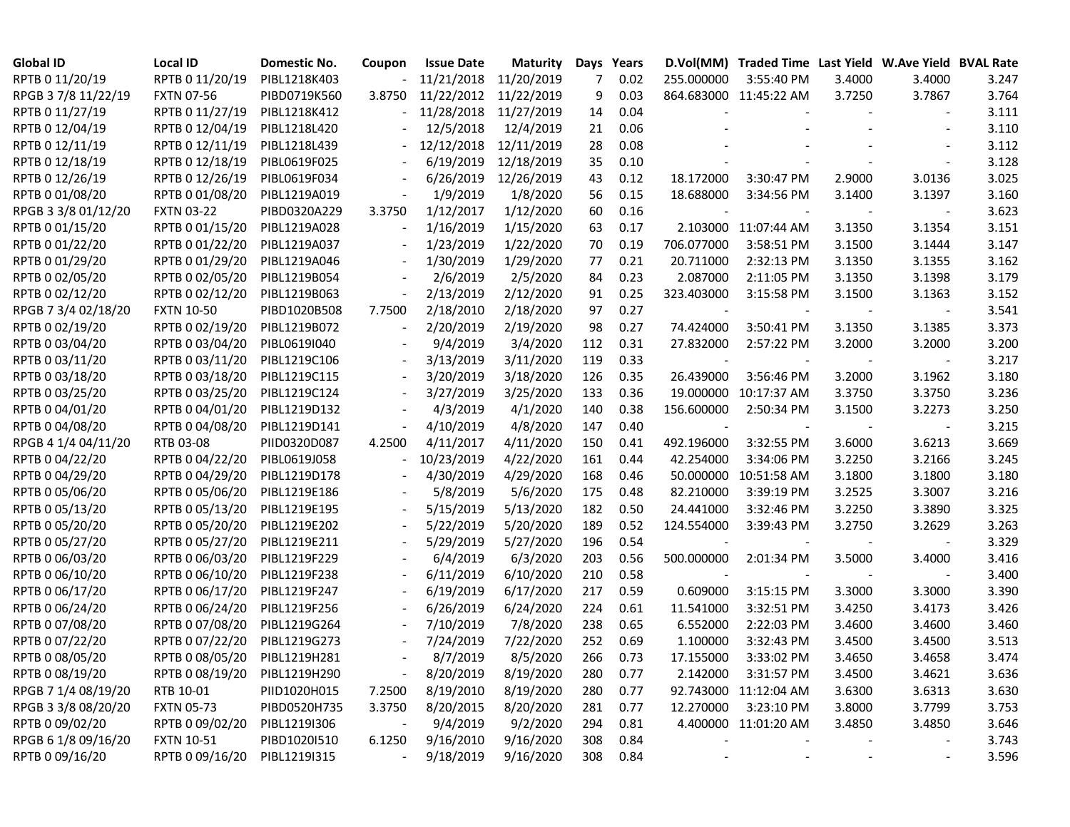| <b>Global ID</b>    | <b>Local ID</b>   | Domestic No. | Coupon                   | <b>Issue Date</b> | <b>Maturity</b> |     | Days Years |                          | D.Vol(MM) Traded Time Last Yield W.Ave Yield BVAL Rate |        |                          |       |
|---------------------|-------------------|--------------|--------------------------|-------------------|-----------------|-----|------------|--------------------------|--------------------------------------------------------|--------|--------------------------|-------|
| RPTB 0 11/20/19     | RPTB 0 11/20/19   | PIBL1218K403 |                          | 11/21/2018        | 11/20/2019      | 7   | 0.02       | 255.000000               | 3:55:40 PM                                             | 3.4000 | 3.4000                   | 3.247 |
| RPGB 37/8 11/22/19  | <b>FXTN 07-56</b> | PIBD0719K560 | 3.8750                   | 11/22/2012        | 11/22/2019      | 9   | 0.03       |                          | 864.683000 11:45:22 AM                                 | 3.7250 | 3.7867                   | 3.764 |
| RPTB 0 11/27/19     | RPTB 0 11/27/19   | PIBL1218K412 |                          | 11/28/2018        | 11/27/2019      | 14  | 0.04       |                          |                                                        |        |                          | 3.111 |
| RPTB 0 12/04/19     | RPTB 0 12/04/19   | PIBL1218L420 |                          | 12/5/2018         | 12/4/2019       | 21  | 0.06       |                          |                                                        |        |                          | 3.110 |
| RPTB 0 12/11/19     | RPTB 0 12/11/19   | PIBL1218L439 |                          | 12/12/2018        | 12/11/2019      | 28  | 0.08       |                          |                                                        |        |                          | 3.112 |
| RPTB 0 12/18/19     | RPTB 0 12/18/19   | PIBL0619F025 |                          | 6/19/2019         | 12/18/2019      | 35  | 0.10       |                          |                                                        |        |                          | 3.128 |
| RPTB 0 12/26/19     | RPTB 0 12/26/19   | PIBL0619F034 |                          | 6/26/2019         | 12/26/2019      | 43  | 0.12       | 18.172000                | 3:30:47 PM                                             | 2.9000 | 3.0136                   | 3.025 |
| RPTB 0 01/08/20     | RPTB 0 01/08/20   | PIBL1219A019 |                          | 1/9/2019          | 1/8/2020        | 56  | 0.15       | 18.688000                | 3:34:56 PM                                             | 3.1400 | 3.1397                   | 3.160 |
| RPGB 3 3/8 01/12/20 | <b>FXTN 03-22</b> | PIBD0320A229 | 3.3750                   | 1/12/2017         | 1/12/2020       | 60  | 0.16       |                          |                                                        |        | $\sim$                   | 3.623 |
| RPTB 0 01/15/20     | RPTB 0 01/15/20   | PIBL1219A028 | $\overline{\phantom{a}}$ | 1/16/2019         | 1/15/2020       | 63  | 0.17       |                          | 2.103000 11:07:44 AM                                   | 3.1350 | 3.1354                   | 3.151 |
| RPTB 0 01/22/20     | RPTB 0 01/22/20   | PIBL1219A037 |                          | 1/23/2019         | 1/22/2020       | 70  | 0.19       | 706.077000               | 3:58:51 PM                                             | 3.1500 | 3.1444                   | 3.147 |
| RPTB 0 01/29/20     | RPTB 0 01/29/20   | PIBL1219A046 | $\overline{\phantom{a}}$ | 1/30/2019         | 1/29/2020       | 77  | 0.21       | 20.711000                | 2:32:13 PM                                             | 3.1350 | 3.1355                   | 3.162 |
| RPTB 0 02/05/20     | RPTB 0 02/05/20   | PIBL1219B054 |                          | 2/6/2019          | 2/5/2020        | 84  | 0.23       | 2.087000                 | 2:11:05 PM                                             | 3.1350 | 3.1398                   | 3.179 |
| RPTB 0 02/12/20     | RPTB 0 02/12/20   | PIBL1219B063 | $\overline{\phantom{a}}$ | 2/13/2019         | 2/12/2020       | 91  | 0.25       | 323.403000               | 3:15:58 PM                                             | 3.1500 | 3.1363                   | 3.152 |
| RPGB 7 3/4 02/18/20 | <b>FXTN 10-50</b> | PIBD1020B508 | 7.7500                   | 2/18/2010         | 2/18/2020       | 97  | 0.27       |                          |                                                        |        |                          | 3.541 |
| RPTB 0 02/19/20     | RPTB 0 02/19/20   | PIBL1219B072 |                          | 2/20/2019         | 2/19/2020       | 98  | 0.27       | 74.424000                | 3:50:41 PM                                             | 3.1350 | 3.1385                   | 3.373 |
| RPTB 0 03/04/20     | RPTB 0 03/04/20   | PIBL0619I040 |                          | 9/4/2019          | 3/4/2020        | 112 | 0.31       | 27.832000                | 2:57:22 PM                                             | 3.2000 | 3.2000                   | 3.200 |
| RPTB 0 03/11/20     | RPTB 0 03/11/20   | PIBL1219C106 |                          | 3/13/2019         | 3/11/2020       | 119 | 0.33       |                          |                                                        |        |                          | 3.217 |
| RPTB 0 03/18/20     | RPTB 0 03/18/20   | PIBL1219C115 |                          | 3/20/2019         | 3/18/2020       | 126 | 0.35       | 26.439000                | 3:56:46 PM                                             | 3.2000 | 3.1962                   | 3.180 |
| RPTB 0 03/25/20     | RPTB 0 03/25/20   | PIBL1219C124 |                          | 3/27/2019         | 3/25/2020       | 133 | 0.36       | 19.000000                | 10:17:37 AM                                            | 3.3750 | 3.3750                   | 3.236 |
| RPTB 0 04/01/20     | RPTB 0 04/01/20   | PIBL1219D132 |                          | 4/3/2019          | 4/1/2020        | 140 | 0.38       | 156.600000               | 2:50:34 PM                                             | 3.1500 | 3.2273                   | 3.250 |
| RPTB 0 04/08/20     | RPTB 0 04/08/20   | PIBL1219D141 | $\overline{\phantom{a}}$ | 4/10/2019         | 4/8/2020        | 147 | 0.40       | $\overline{\phantom{a}}$ |                                                        |        | $\overline{\phantom{a}}$ | 3.215 |
| RPGB 4 1/4 04/11/20 | RTB 03-08         | PIID0320D087 | 4.2500                   | 4/11/2017         | 4/11/2020       | 150 | 0.41       | 492.196000               | 3:32:55 PM                                             | 3.6000 | 3.6213                   | 3.669 |
| RPTB 0 04/22/20     | RPTB 0 04/22/20   | PIBL0619J058 |                          | 10/23/2019        | 4/22/2020       | 161 | 0.44       | 42.254000                | 3:34:06 PM                                             | 3.2250 | 3.2166                   | 3.245 |
| RPTB 0 04/29/20     | RPTB 0 04/29/20   | PIBL1219D178 |                          | 4/30/2019         | 4/29/2020       | 168 | 0.46       | 50.000000                | 10:51:58 AM                                            | 3.1800 | 3.1800                   | 3.180 |
| RPTB 0 05/06/20     | RPTB 0 05/06/20   | PIBL1219E186 |                          | 5/8/2019          | 5/6/2020        | 175 | 0.48       | 82.210000                | 3:39:19 PM                                             | 3.2525 | 3.3007                   | 3.216 |
| RPTB 0 05/13/20     | RPTB 0 05/13/20   | PIBL1219E195 |                          | 5/15/2019         | 5/13/2020       | 182 | 0.50       | 24.441000                | 3:32:46 PM                                             | 3.2250 | 3.3890                   | 3.325 |
| RPTB 0 05/20/20     | RPTB 0 05/20/20   | PIBL1219E202 |                          | 5/22/2019         | 5/20/2020       | 189 | 0.52       | 124.554000               | 3:39:43 PM                                             | 3.2750 | 3.2629                   | 3.263 |
| RPTB 0 05/27/20     | RPTB 0 05/27/20   | PIBL1219E211 |                          | 5/29/2019         | 5/27/2020       | 196 | 0.54       |                          |                                                        |        |                          | 3.329 |
| RPTB 0 06/03/20     | RPTB 0 06/03/20   | PIBL1219F229 |                          | 6/4/2019          | 6/3/2020        | 203 | 0.56       | 500.000000               | 2:01:34 PM                                             | 3.5000 | 3.4000                   | 3.416 |
| RPTB 0 06/10/20     | RPTB 0 06/10/20   | PIBL1219F238 |                          | 6/11/2019         | 6/10/2020       | 210 | 0.58       |                          |                                                        |        |                          | 3.400 |
| RPTB 0 06/17/20     | RPTB 0 06/17/20   | PIBL1219F247 |                          | 6/19/2019         | 6/17/2020       | 217 | 0.59       | 0.609000                 | 3:15:15 PM                                             | 3.3000 | 3.3000                   | 3.390 |
| RPTB 0 06/24/20     | RPTB 0 06/24/20   | PIBL1219F256 |                          | 6/26/2019         | 6/24/2020       | 224 | 0.61       | 11.541000                | 3:32:51 PM                                             | 3.4250 | 3.4173                   | 3.426 |
| RPTB 0 07/08/20     | RPTB 0 07/08/20   | PIBL1219G264 |                          | 7/10/2019         | 7/8/2020        | 238 | 0.65       | 6.552000                 | 2:22:03 PM                                             | 3.4600 | 3.4600                   | 3.460 |
| RPTB 0 07/22/20     | RPTB 0 07/22/20   | PIBL1219G273 | $\overline{\phantom{a}}$ | 7/24/2019         | 7/22/2020       | 252 | 0.69       | 1.100000                 | 3:32:43 PM                                             | 3.4500 | 3.4500                   | 3.513 |
| RPTB 0 08/05/20     | RPTB 0 08/05/20   | PIBL1219H281 |                          | 8/7/2019          | 8/5/2020        | 266 | 0.73       | 17.155000                | 3:33:02 PM                                             | 3.4650 | 3.4658                   | 3.474 |
| RPTB 0 08/19/20     | RPTB 0 08/19/20   | PIBL1219H290 | $\overline{\phantom{a}}$ | 8/20/2019         | 8/19/2020       | 280 | 0.77       | 2.142000                 | 3:31:57 PM                                             | 3.4500 | 3.4621                   | 3.636 |
| RPGB 7 1/4 08/19/20 | RTB 10-01         | PIID1020H015 | 7.2500                   | 8/19/2010         | 8/19/2020       | 280 | 0.77       |                          | 92.743000 11:12:04 AM                                  | 3.6300 | 3.6313                   | 3.630 |
| RPGB 3 3/8 08/20/20 | <b>FXTN 05-73</b> | PIBD0520H735 | 3.3750                   | 8/20/2015         | 8/20/2020       | 281 | 0.77       | 12.270000                | 3:23:10 PM                                             | 3.8000 | 3.7799                   | 3.753 |
| RPTB 0 09/02/20     | RPTB 0 09/02/20   | PIBL1219I306 |                          | 9/4/2019          | 9/2/2020        | 294 | 0.81       |                          | 4.400000 11:01:20 AM                                   | 3.4850 | 3.4850                   | 3.646 |
| RPGB 6 1/8 09/16/20 | <b>FXTN 10-51</b> | PIBD1020I510 | 6.1250                   | 9/16/2010         | 9/16/2020       | 308 | 0.84       |                          |                                                        |        | $\overline{\phantom{a}}$ | 3.743 |
| RPTB 0 09/16/20     | RPTB 0 09/16/20   | PIBL1219I315 |                          | 9/18/2019         | 9/16/2020       | 308 | 0.84       |                          |                                                        |        |                          | 3.596 |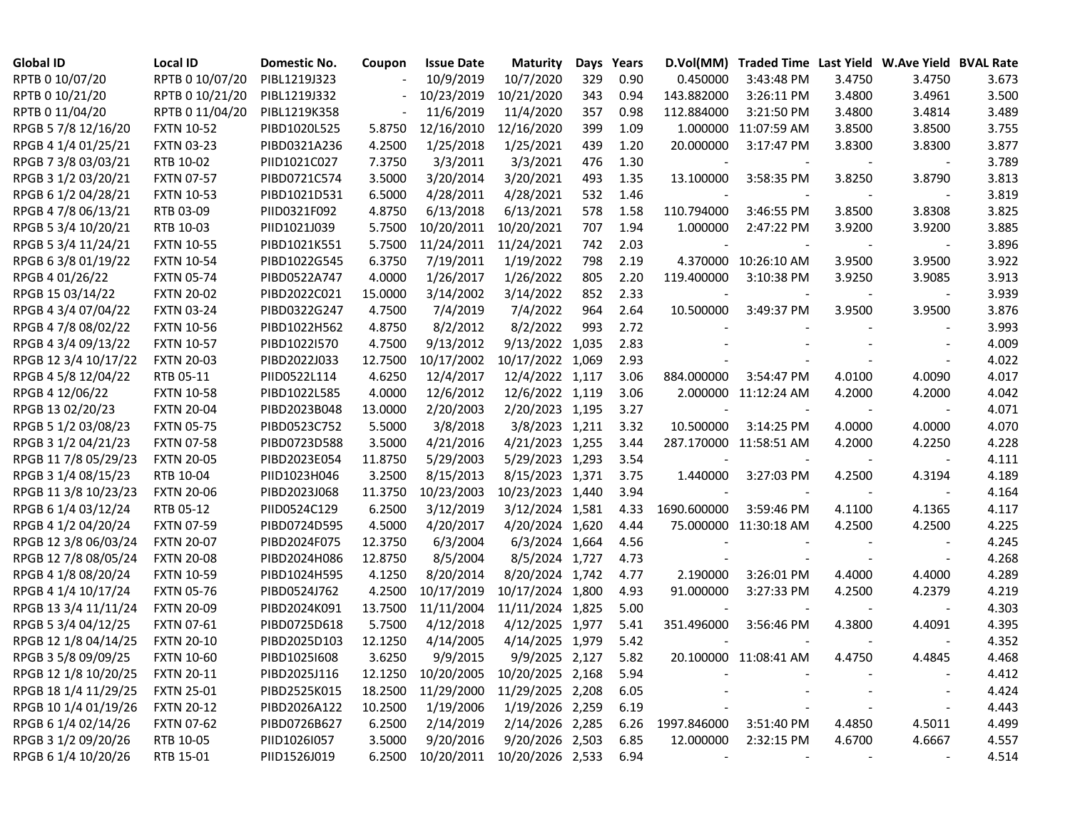| <b>Global ID</b>     | <b>Local ID</b>   | Domestic No. | Coupon  | <b>Issue Date</b>  | <b>Maturity</b>             | Days  | Years | D.Vol(MM)                | Traded Time Last Yield W.Ave Yield BVAL Rate |        |                          |       |
|----------------------|-------------------|--------------|---------|--------------------|-----------------------------|-------|-------|--------------------------|----------------------------------------------|--------|--------------------------|-------|
| RPTB 0 10/07/20      | RPTB 0 10/07/20   | PIBL1219J323 |         | 10/9/2019          | 10/7/2020                   | 329   | 0.90  | 0.450000                 | 3:43:48 PM                                   | 3.4750 | 3.4750                   | 3.673 |
| RPTB 0 10/21/20      | RPTB 0 10/21/20   | PIBL1219J332 |         | 10/23/2019         | 10/21/2020                  | 343   | 0.94  | 143.882000               | 3:26:11 PM                                   | 3.4800 | 3.4961                   | 3.500 |
| RPTB 0 11/04/20      | RPTB 0 11/04/20   | PIBL1219K358 |         | 11/6/2019          | 11/4/2020                   | 357   | 0.98  | 112.884000               | 3:21:50 PM                                   | 3.4800 | 3.4814                   | 3.489 |
| RPGB 5 7/8 12/16/20  | <b>FXTN 10-52</b> | PIBD1020L525 | 5.8750  | 12/16/2010         | 12/16/2020                  | 399   | 1.09  |                          | 1.000000 11:07:59 AM                         | 3.8500 | 3.8500                   | 3.755 |
| RPGB 4 1/4 01/25/21  | <b>FXTN 03-23</b> | PIBD0321A236 | 4.2500  | 1/25/2018          | 1/25/2021                   | 439   | 1.20  | 20.000000                | 3:17:47 PM                                   | 3.8300 | 3.8300                   | 3.877 |
| RPGB 7 3/8 03/03/21  | RTB 10-02         | PIID1021C027 | 7.3750  | 3/3/2011           | 3/3/2021                    | 476   | 1.30  |                          |                                              |        |                          | 3.789 |
| RPGB 3 1/2 03/20/21  | <b>FXTN 07-57</b> | PIBD0721C574 | 3.5000  | 3/20/2014          | 3/20/2021                   | 493   | 1.35  | 13.100000                | 3:58:35 PM                                   | 3.8250 | 3.8790                   | 3.813 |
| RPGB 6 1/2 04/28/21  | <b>FXTN 10-53</b> | PIBD1021D531 | 6.5000  | 4/28/2011          | 4/28/2021                   | 532   | 1.46  |                          |                                              |        |                          | 3.819 |
| RPGB 4 7/8 06/13/21  | RTB 03-09         | PIID0321F092 | 4.8750  | 6/13/2018          | 6/13/2021                   | 578   | 1.58  | 110.794000               | 3:46:55 PM                                   | 3.8500 | 3.8308                   | 3.825 |
| RPGB 5 3/4 10/20/21  | RTB 10-03         | PIID1021J039 | 5.7500  | 10/20/2011         | 10/20/2021                  | 707   | 1.94  | 1.000000                 | 2:47:22 PM                                   | 3.9200 | 3.9200                   | 3.885 |
| RPGB 5 3/4 11/24/21  | <b>FXTN 10-55</b> | PIBD1021K551 | 5.7500  | 11/24/2011         | 11/24/2021                  | 742   | 2.03  |                          |                                              |        | $\overline{\phantom{a}}$ | 3.896 |
| RPGB 63/8 01/19/22   | <b>FXTN 10-54</b> | PIBD1022G545 | 6.3750  | 7/19/2011          | 1/19/2022                   | 798   | 2.19  |                          | 4.370000 10:26:10 AM                         | 3.9500 | 3.9500                   | 3.922 |
| RPGB 4 01/26/22      | <b>FXTN 05-74</b> | PIBD0522A747 | 4.0000  | 1/26/2017          | 1/26/2022                   | 805   | 2.20  | 119.400000               | 3:10:38 PM                                   | 3.9250 | 3.9085                   | 3.913 |
| RPGB 15 03/14/22     | <b>FXTN 20-02</b> | PIBD2022C021 | 15.0000 | 3/14/2002          | 3/14/2022                   | 852   | 2.33  |                          |                                              |        | $\blacksquare$           | 3.939 |
| RPGB 4 3/4 07/04/22  | <b>FXTN 03-24</b> | PIBD0322G247 | 4.7500  | 7/4/2019           | 7/4/2022                    | 964   | 2.64  | 10.500000                | 3:49:37 PM                                   | 3.9500 | 3.9500                   | 3.876 |
| RPGB 4 7/8 08/02/22  | <b>FXTN 10-56</b> | PIBD1022H562 | 4.8750  | 8/2/2012           | 8/2/2022                    | 993   | 2.72  |                          |                                              |        |                          | 3.993 |
| RPGB 4 3/4 09/13/22  | <b>FXTN 10-57</b> | PIBD1022I570 | 4.7500  | 9/13/2012          | 9/13/2022                   | 1,035 | 2.83  |                          |                                              |        |                          | 4.009 |
| RPGB 12 3/4 10/17/22 | <b>FXTN 20-03</b> | PIBD2022J033 | 12.7500 | 10/17/2002         | 10/17/2022 1,069            |       | 2.93  |                          |                                              |        |                          | 4.022 |
| RPGB 4 5/8 12/04/22  | RTB 05-11         | PIID0522L114 | 4.6250  | 12/4/2017          | 12/4/2022 1,117             |       | 3.06  | 884.000000               | 3:54:47 PM                                   | 4.0100 | 4.0090                   | 4.017 |
| RPGB 4 12/06/22      | <b>FXTN 10-58</b> | PIBD1022L585 | 4.0000  | 12/6/2012          | 12/6/2022 1,119             |       | 3.06  |                          | 2.000000 11:12:24 AM                         | 4.2000 | 4.2000                   | 4.042 |
| RPGB 13 02/20/23     | <b>FXTN 20-04</b> | PIBD2023B048 | 13.0000 | 2/20/2003          | 2/20/2023 1,195             |       | 3.27  | $\overline{\phantom{a}}$ |                                              |        |                          | 4.071 |
| RPGB 5 1/2 03/08/23  | <b>FXTN 05-75</b> | PIBD0523C752 | 5.5000  | 3/8/2018           | 3/8/2023 1,211              |       | 3.32  | 10.500000                | 3:14:25 PM                                   | 4.0000 | 4.0000                   | 4.070 |
| RPGB 3 1/2 04/21/23  | <b>FXTN 07-58</b> | PIBD0723D588 | 3.5000  | 4/21/2016          | 4/21/2023 1,255             |       | 3.44  |                          | 287.170000 11:58:51 AM                       | 4.2000 | 4.2250                   | 4.228 |
| RPGB 11 7/8 05/29/23 | <b>FXTN 20-05</b> | PIBD2023E054 | 11.8750 | 5/29/2003          | 5/29/2023 1,293             |       | 3.54  |                          |                                              |        |                          | 4.111 |
| RPGB 3 1/4 08/15/23  | RTB 10-04         | PIID1023H046 | 3.2500  | 8/15/2013          | 8/15/2023 1,371             |       | 3.75  | 1.440000                 | 3:27:03 PM                                   | 4.2500 | 4.3194                   | 4.189 |
| RPGB 11 3/8 10/23/23 | <b>FXTN 20-06</b> | PIBD2023J068 | 11.3750 | 10/23/2003         | 10/23/2023 1,440            |       | 3.94  |                          |                                              |        |                          | 4.164 |
| RPGB 6 1/4 03/12/24  | RTB 05-12         | PIID0524C129 | 6.2500  | 3/12/2019          | 3/12/2024 1,581             |       | 4.33  | 1690.600000              | 3:59:46 PM                                   | 4.1100 | 4.1365                   | 4.117 |
| RPGB 4 1/2 04/20/24  | <b>FXTN 07-59</b> | PIBD0724D595 | 4.5000  | 4/20/2017          | 4/20/2024 1,620             |       | 4.44  |                          | 75.000000 11:30:18 AM                        | 4.2500 | 4.2500                   | 4.225 |
| RPGB 12 3/8 06/03/24 | <b>FXTN 20-07</b> | PIBD2024F075 | 12.3750 | 6/3/2004           | 6/3/2024 1,664              |       | 4.56  |                          |                                              |        |                          | 4.245 |
| RPGB 12 7/8 08/05/24 | <b>FXTN 20-08</b> | PIBD2024H086 | 12.8750 | 8/5/2004           | 8/5/2024 1,727              |       | 4.73  |                          |                                              |        |                          | 4.268 |
| RPGB 4 1/8 08/20/24  | <b>FXTN 10-59</b> | PIBD1024H595 | 4.1250  | 8/20/2014          | 8/20/2024 1,742             |       | 4.77  | 2.190000                 | 3:26:01 PM                                   | 4.4000 | 4.4000                   | 4.289 |
| RPGB 4 1/4 10/17/24  | <b>FXTN 05-76</b> | PIBD0524J762 | 4.2500  | 10/17/2019         | 10/17/2024 1,800            |       | 4.93  | 91.000000                | 3:27:33 PM                                   | 4.2500 | 4.2379                   | 4.219 |
| RPGB 13 3/4 11/11/24 | <b>FXTN 20-09</b> | PIBD2024K091 | 13.7500 | 11/11/2004         | 11/11/2024 1,825            |       | 5.00  |                          |                                              |        |                          | 4.303 |
| RPGB 5 3/4 04/12/25  | <b>FXTN 07-61</b> | PIBD0725D618 | 5.7500  | 4/12/2018          | 4/12/2025 1,977             |       | 5.41  | 351.496000               | 3:56:46 PM                                   | 4.3800 | 4.4091                   | 4.395 |
| RPGB 12 1/8 04/14/25 | <b>FXTN 20-10</b> | PIBD2025D103 | 12.1250 | 4/14/2005          | 4/14/2025 1,979             |       | 5.42  |                          |                                              |        |                          | 4.352 |
| RPGB 3 5/8 09/09/25  | <b>FXTN 10-60</b> | PIBD1025I608 | 3.6250  | 9/9/2015           | 9/9/2025 2,127              |       | 5.82  |                          | 20.100000 11:08:41 AM                        | 4.4750 | 4.4845                   | 4.468 |
| RPGB 12 1/8 10/20/25 | <b>FXTN 20-11</b> | PIBD2025J116 |         | 12.1250 10/20/2005 | 10/20/2025 2,168            |       | 5.94  |                          |                                              |        |                          | 4.412 |
| RPGB 18 1/4 11/29/25 | <b>FXTN 25-01</b> | PIBD2525K015 | 18.2500 | 11/29/2000         | 11/29/2025 2,208            |       | 6.05  |                          |                                              |        |                          | 4.424 |
| RPGB 10 1/4 01/19/26 | <b>FXTN 20-12</b> | PIBD2026A122 | 10.2500 | 1/19/2006          | 1/19/2026 2,259             |       | 6.19  |                          |                                              |        |                          | 4.443 |
| RPGB 6 1/4 02/14/26  | <b>FXTN 07-62</b> | PIBD0726B627 | 6.2500  | 2/14/2019          | 2/14/2026 2,285             |       | 6.26  | 1997.846000              | 3:51:40 PM                                   | 4.4850 | 4.5011                   | 4.499 |
| RPGB 3 1/2 09/20/26  | RTB 10-05         | PIID1026I057 | 3.5000  | 9/20/2016          | 9/20/2026 2,503             |       | 6.85  | 12.000000                | 2:32:15 PM                                   | 4.6700 | 4.6667                   | 4.557 |
| RPGB 6 1/4 10/20/26  | RTB 15-01         | PIID1526J019 | 6.2500  |                    | 10/20/2011 10/20/2026 2,533 |       | 6.94  |                          |                                              |        |                          | 4.514 |